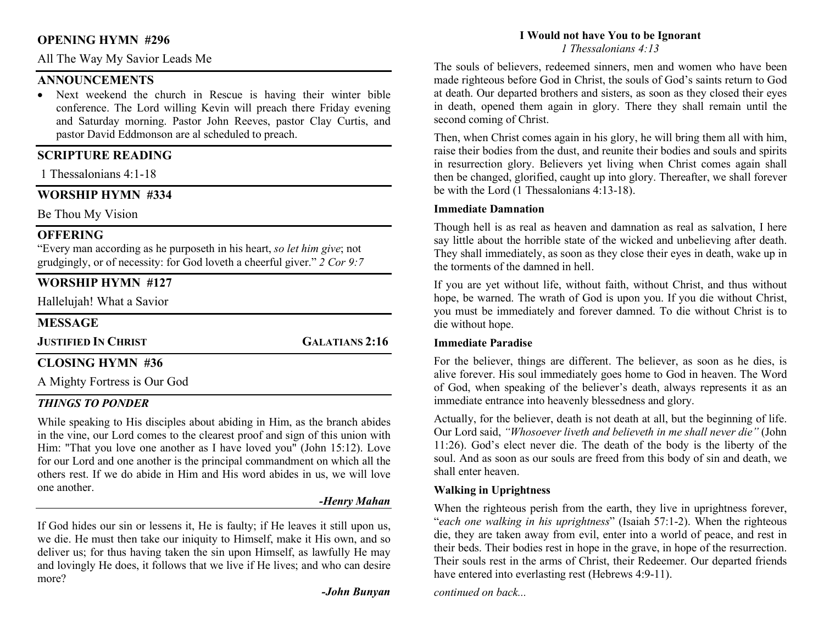### OPENING HYMN #296

All The Way My Savior Leads Me

### ANNOUNCEMENTS

 Next weekend the church in Rescue is having their winter bible conference. The Lord willing Kevin will preach there Friday evening and Saturday morning. Pastor John Reeves, pastor Clay Curtis, and pastor David Eddmonson are al scheduled to preach.

## SCRIPTURE READING

1 Thessalonians 4:1-18

## WORSHIP HYMN #334

Be Thou My Vision

## **OFFERING**

"Every man according as he purposeth in his heart, so let him give; not grudgingly, or of necessity: for God loveth a cheerful giver."  $2$  Cor 9:7

# WORSHIP HYMN #127

Hallelujah! What a Savior

### **MESSAGE**

JUSTIFIED IN CHRIST GALATIANS 2:16

# CLOSING HYMN #36

A Mighty Fortress is Our God

### THINGS TO PONDER

While speaking to His disciples about abiding in Him, as the branch abides in the vine, our Lord comes to the clearest proof and sign of this union with Him: "That you love one another as I have loved you" (John 15:12). Love for our Lord and one another is the principal commandment on which all the others rest. If we do abide in Him and His word abides in us, we will love one another.

### -Henry Mahan

If God hides our sin or lessens it, He is faulty; if He leaves it still upon us, we die. He must then take our iniquity to Himself, make it His own, and so deliver us; for thus having taken the sin upon Himself, as lawfully He may and lovingly He does, it follows that we live if He lives; and who can desire more?

-John Bunyan

# I Would not have You to be Ignorant

1 Thessalonians 4:13

The souls of believers, redeemed sinners, men and women who have been made righteous before God in Christ, the souls of God's saints return to God at death. Our departed brothers and sisters, as soon as they closed their eyes in death, opened them again in glory. There they shall remain until the second coming of Christ.

Then, when Christ comes again in his glory, he will bring them all with him, raise their bodies from the dust, and reunite their bodies and souls and spirits in resurrection glory. Believers yet living when Christ comes again shall then be changed, glorified, caught up into glory. Thereafter, we shall forever be with the Lord (1 Thessalonians 4:13-18).

### Immediate Damnation

Though hell is as real as heaven and damnation as real as salvation, I here say little about the horrible state of the wicked and unbelieving after death. They shall immediately, as soon as they close their eyes in death, wake up in the torments of the damned in hell.

If you are yet without life, without faith, without Christ, and thus without hope, be warned. The wrath of God is upon you. If you die without Christ, you must be immediately and forever damned. To die without Christ is to die without hope.

### Immediate Paradise

For the believer, things are different. The believer, as soon as he dies, is alive forever. His soul immediately goes home to God in heaven. The Word of God, when speaking of the believer's death, always represents it as an immediate entrance into heavenly blessedness and glory.

Actually, for the believer, death is not death at all, but the beginning of life. Our Lord said, "Whosoever liveth and believeth in me shall never die" (John 11:26). God's elect never die. The death of the body is the liberty of the soul. And as soon as our souls are freed from this body of sin and death, we shall enter heaven.

### Walking in Uprightness

When the righteous perish from the earth, they live in uprightness forever, "each one walking in his uprightness" (Isaiah 57:1-2). When the righteous die, they are taken away from evil, enter into a world of peace, and rest in their beds. Their bodies rest in hope in the grave, in hope of the resurrection. Their souls rest in the arms of Christ, their Redeemer. Our departed friends have entered into everlasting rest (Hebrews 4:9-11).

continued on back...